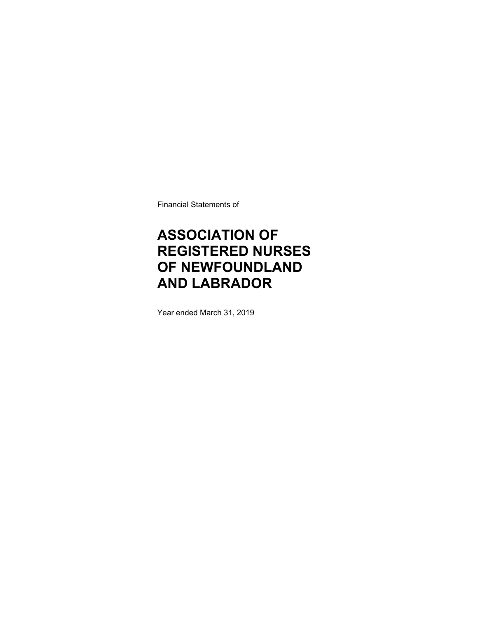Financial Statements of

# **ASSOCIATION OF REGISTERED NURSES OF NEWFOUNDLAND AND LABRADOR**

Year ended March 31, 2019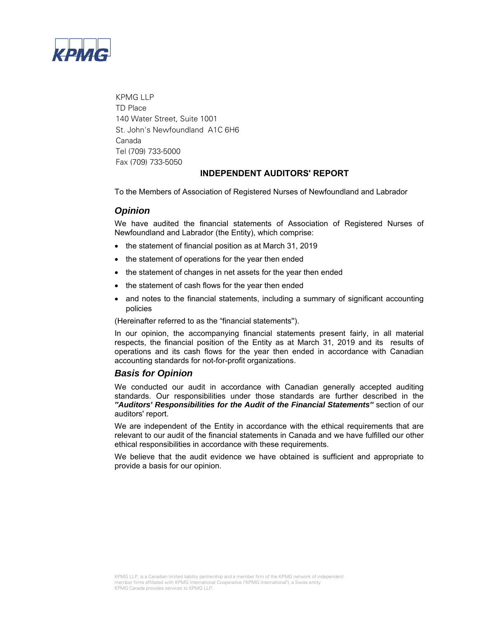

KPMG LLP TD Place 140 Water Street, Suite 1001 St. John's Newfoundland A1C 6H6 Canada Tel (709) 733-5000 Fax (709) 733-5050

### **INDEPENDENT AUDITORS' REPORT**

To the Members of Association of Registered Nurses of Newfoundland and Labrador

## *Opinion*

We have audited the financial statements of Association of Registered Nurses of Newfoundland and Labrador (the Entity), which comprise:

- the statement of financial position as at March 31, 2019
- the statement of operations for the year then ended
- the statement of changes in net assets for the year then ended
- the statement of cash flows for the year then ended
- and notes to the financial statements, including a summary of significant accounting policies

(Hereinafter referred to as the "financial statements'').

In our opinion, the accompanying financial statements present fairly, in all material respects, the financial position of the Entity as at March 31, 2019 and its results of operations and its cash flows for the year then ended in accordance with Canadian accounting standards for not-for-profit organizations.

### *Basis for Opinion*

We conducted our audit in accordance with Canadian generally accepted auditing standards. Our responsibilities under those standards are further described in the *''Auditors' Responsibilities for the Audit of the Financial Statements''* section of our auditors' report.

We are independent of the Entity in accordance with the ethical requirements that are relevant to our audit of the financial statements in Canada and we have fulfilled our other ethical responsibilities in accordance with these requirements.

We believe that the audit evidence we have obtained is sufficient and appropriate to provide a basis for our opinion.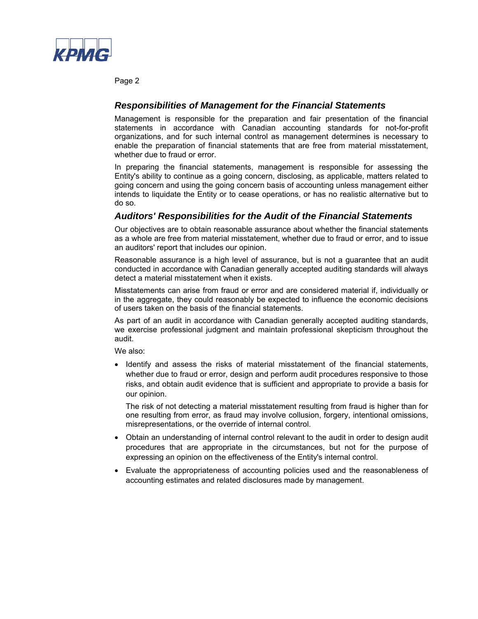

Page 2

## *Responsibilities of Management for the Financial Statements*

Management is responsible for the preparation and fair presentation of the financial statements in accordance with Canadian accounting standards for not-for-profit organizations, and for such internal control as management determines is necessary to enable the preparation of financial statements that are free from material misstatement, whether due to fraud or error.

In preparing the financial statements, management is responsible for assessing the Entity's ability to continue as a going concern, disclosing, as applicable, matters related to going concern and using the going concern basis of accounting unless management either intends to liquidate the Entity or to cease operations, or has no realistic alternative but to do so.

## *Auditors' Responsibilities for the Audit of the Financial Statements*

Our objectives are to obtain reasonable assurance about whether the financial statements as a whole are free from material misstatement, whether due to fraud or error, and to issue an auditors' report that includes our opinion.

Reasonable assurance is a high level of assurance, but is not a guarantee that an audit conducted in accordance with Canadian generally accepted auditing standards will always detect a material misstatement when it exists.

Misstatements can arise from fraud or error and are considered material if, individually or in the aggregate, they could reasonably be expected to influence the economic decisions of users taken on the basis of the financial statements.

As part of an audit in accordance with Canadian generally accepted auditing standards, we exercise professional judgment and maintain professional skepticism throughout the audit.

We also:

• Identify and assess the risks of material misstatement of the financial statements, whether due to fraud or error, design and perform audit procedures responsive to those risks, and obtain audit evidence that is sufficient and appropriate to provide a basis for our opinion.

The risk of not detecting a material misstatement resulting from fraud is higher than for one resulting from error, as fraud may involve collusion, forgery, intentional omissions, misrepresentations, or the override of internal control.

- Obtain an understanding of internal control relevant to the audit in order to design audit procedures that are appropriate in the circumstances, but not for the purpose of expressing an opinion on the effectiveness of the Entity's internal control.
- Evaluate the appropriateness of accounting policies used and the reasonableness of accounting estimates and related disclosures made by management.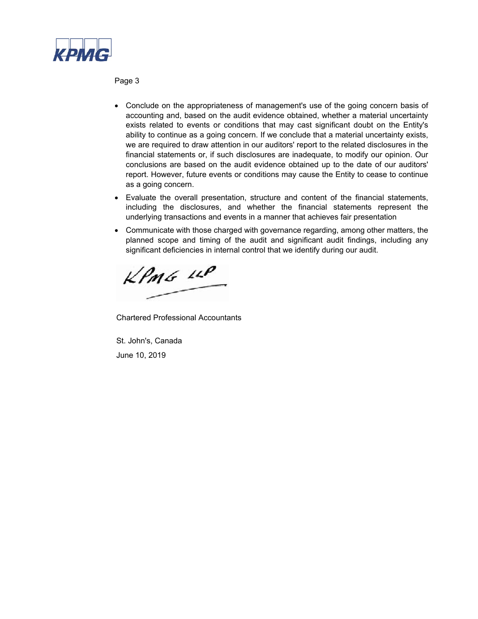

Page 3

- Conclude on the appropriateness of management's use of the going concern basis of accounting and, based on the audit evidence obtained, whether a material uncertainty exists related to events or conditions that may cast significant doubt on the Entity's ability to continue as a going concern. If we conclude that a material uncertainty exists, we are required to draw attention in our auditors' report to the related disclosures in the financial statements or, if such disclosures are inadequate, to modify our opinion. Our conclusions are based on the audit evidence obtained up to the date of our auditors' report. However, future events or conditions may cause the Entity to cease to continue as a going concern.
- Evaluate the overall presentation, structure and content of the financial statements, including the disclosures, and whether the financial statements represent the underlying transactions and events in a manner that achieves fair presentation
- Communicate with those charged with governance regarding, among other matters, the planned scope and timing of the audit and significant audit findings, including any significant deficiencies in internal control that we identify during our audit.

 $kPMC$  11 $P$ 

Chartered Professional Accountants

St. John's, Canada June 10, 2019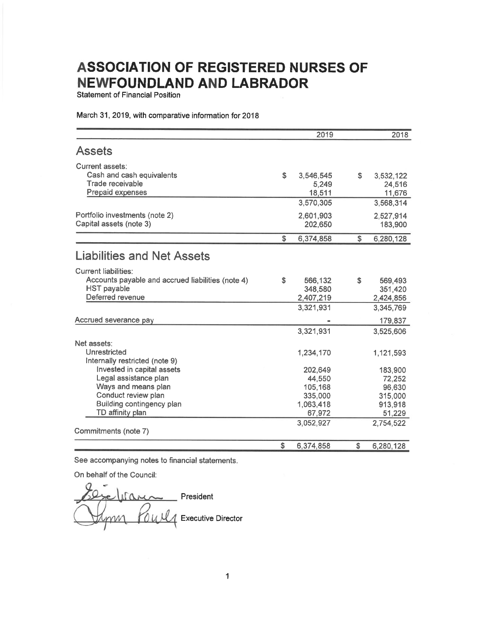**Statement of Financial Position** 

March 31, 2019, with comparative information for 2018

|                                                   | 2019            |    | 2018      |
|---------------------------------------------------|-----------------|----|-----------|
| <b>Assets</b>                                     |                 |    |           |
| <b>Current assets:</b>                            |                 |    |           |
| Cash and cash equivalents                         | \$<br>3,546,545 | S. | 3,532,122 |
| Trade receivable                                  | 5,249           |    | 24,516    |
| Prepaid expenses                                  | 18,511          |    | 11,676    |
|                                                   | 3,570,305       |    | 3,568,314 |
| Portfolio investments (note 2)                    | 2,601,903       |    | 2,527,914 |
| Capital assets (note 3)                           | 202,650         |    | 183,900   |
|                                                   | \$<br>6,374,858 | \$ | 6,280,128 |
| <b>Liabilities and Net Assets</b>                 |                 |    |           |
| <b>Current liabilities:</b>                       |                 |    |           |
| Accounts payable and accrued liabilities (note 4) | \$<br>566,132   | \$ | 569,493   |
| <b>HST</b> payable                                | 348,580         |    | 351,420   |
| Deferred revenue                                  | 2,407,219       |    | 2,424,856 |
|                                                   | 3,321,931       |    | 3,345,769 |
| Accrued severance pay                             |                 |    | 179,837   |
|                                                   | 3,321,931       |    | 3,525,606 |
| Net assets:                                       |                 |    |           |
| Unrestricted                                      | 1,234,170       |    | 1,121,593 |
| Internally restricted (note 9)                    |                 |    |           |
| Invested in capital assets                        | 202,649         |    | 183,900   |
| Legal assistance plan                             | 44,550          |    | 72,252    |
| Ways and means plan                               | 105,168         |    | 96,630    |
| Conduct review plan                               | 335,000         |    | 315,000   |
| Building contingency plan                         | 1,063,418       |    | 913,918   |
| TD affinity plan                                  | 67,972          |    | 51,229    |
|                                                   | 3,052,927       |    | 2.754,522 |
| Commitments (note 7)                              |                 |    |           |
|                                                   | \$<br>6.374.858 | \$ | 6.280.128 |

See accompanying notes to financial statements.

On behalf of the Council:

<u>lese Vianum President</u> Powla Executive Director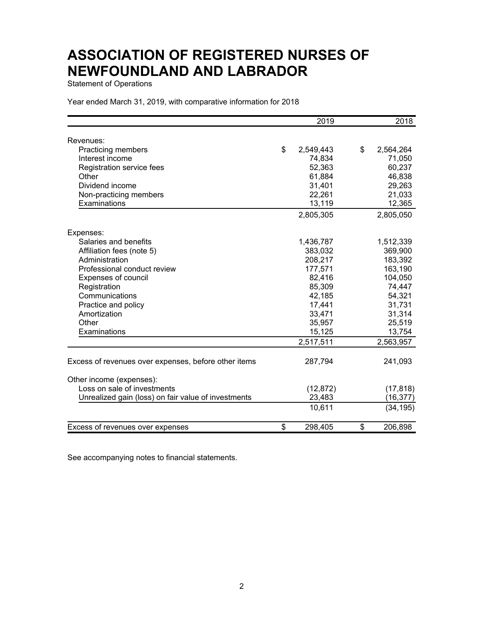Statement of Operations

Year ended March 31, 2019, with comparative information for 2018

|                                                      | 2019            | 2018            |
|------------------------------------------------------|-----------------|-----------------|
| Revenues:                                            |                 |                 |
| <b>Practicing members</b>                            | \$<br>2,549,443 | \$<br>2,564,264 |
| Interest income                                      | 74,834          | 71,050          |
| Registration service fees                            | 52,363          | 60,237          |
| Other                                                | 61,884          | 46,838          |
| Dividend income                                      | 31,401          | 29,263          |
| Non-practicing members                               | 22,261          | 21,033          |
| Examinations                                         | 13,119          | 12,365          |
|                                                      | 2,805,305       | 2,805,050       |
| Expenses:                                            |                 |                 |
| Salaries and benefits                                | 1,436,787       | 1,512,339       |
| Affiliation fees (note 5)                            | 383,032         | 369,900         |
| Administration                                       | 208,217         | 183,392         |
| Professional conduct review                          | 177,571         | 163,190         |
| Expenses of council                                  | 82,416          | 104,050         |
| Registration                                         | 85,309          | 74,447          |
| Communications                                       | 42,185          | 54,321          |
| Practice and policy                                  | 17,441          | 31,731          |
| Amortization                                         | 33,471          | 31,314          |
| Other                                                | 35,957          | 25,519          |
| Examinations                                         | 15,125          | 13,754          |
|                                                      | 2,517,511       | 2,563,957       |
| Excess of revenues over expenses, before other items | 287,794         | 241,093         |
| Other income (expenses):                             |                 |                 |
| Loss on sale of investments                          | (12, 872)       | (17, 818)       |
| Unrealized gain (loss) on fair value of investments  | 23,483          | (16, 377)       |
|                                                      | 10,611          | (34, 195)       |
| Excess of revenues over expenses                     | \$<br>298,405   | \$<br>206,898   |

See accompanying notes to financial statements.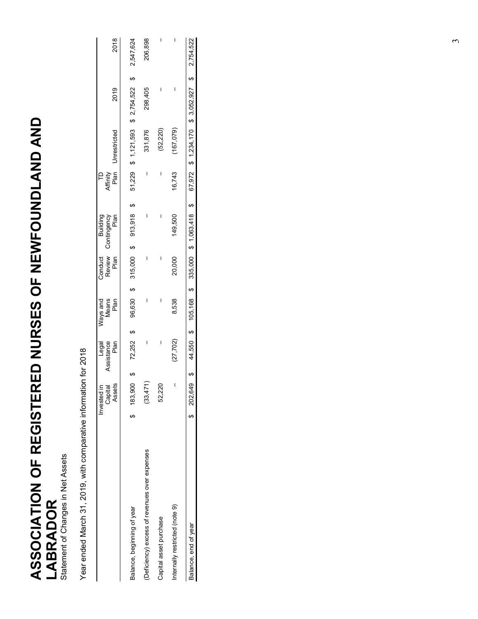**ASSOCIATION OF REGISTERED NURSES OF NEWFOUNDLAND AND**  ASSOCIATION OF REGISTERED NURSES OF NEWFOUNDLAND AND **LABRADOR**  LABRADOR

Statement of Changes in Net Assets Statement of Changes in Net Assets

Year ended March 31, 2019, with comparative information for 2018 Year ended March 31, 2019, with comparative information for 2018

|                                              | Invested          | Legal<br>Assistance | Means<br>Ways and | Review Contingency<br>Conduct | Building                        | Affinity |                   |                                                                                                                  |           |
|----------------------------------------------|-------------------|---------------------|-------------------|-------------------------------|---------------------------------|----------|-------------------|------------------------------------------------------------------------------------------------------------------|-----------|
|                                              | Capital<br>Assets | Plan                | Plan              | Plan                          | Plan                            |          | Plan Unrestricted | 2019                                                                                                             | 2018      |
| Balance, beginning of year                   | 183,900 \$        | $72,252$ \$         |                   |                               | 96,630 \$ 315,000 \$ 913,918 \$ |          |                   | 51,229 \$ 1,121,593 \$ 2,754,522 \$                                                                              | 2,547,624 |
| Deficiency) excess of revenues over expenses | (33, 471)         |                     |                   |                               | I                               |          | 331,876           | 298,405                                                                                                          | 206,898   |
| Capital asset purchase                       | 52,220            |                     | ı                 |                               |                                 |          | (52, 220)         |                                                                                                                  | Ī         |
| Internally restricted (note 9)               | I                 | (27, 702)           | 8.538             | 20,000                        | 149,500                         | 16,743   | (167, 079)        |                                                                                                                  | I         |
| Balance, end of year                         |                   |                     |                   |                               |                                 |          |                   | \$ 2,64,550 \$ 2,64,550 \$ 105,168 \$ 335,000 \$ 1,063,418 \$ 335,000 \$ 3,070 \$ 3,070 \$ 3,04,592 \$ 44,592 \$ |           |
|                                              |                   |                     |                   |                               |                                 |          |                   |                                                                                                                  |           |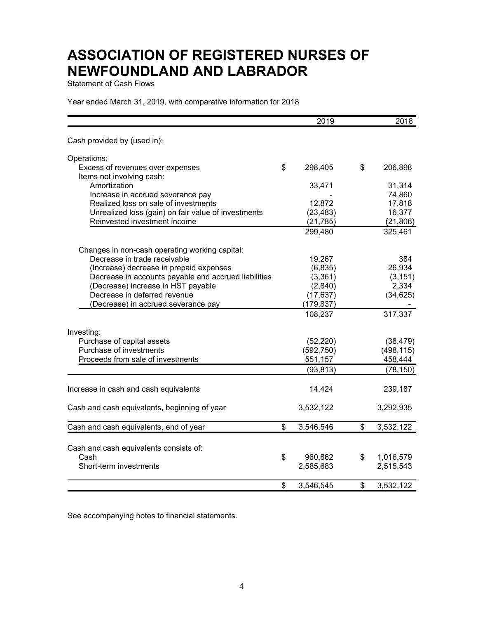Statement of Cash Flows

Year ended March 31, 2019, with comparative information for 2018

|                                                      | 2019            | 2018            |
|------------------------------------------------------|-----------------|-----------------|
| Cash provided by (used in):                          |                 |                 |
| Operations:                                          |                 |                 |
| Excess of revenues over expenses                     | \$<br>298,405   | \$<br>206,898   |
| Items not involving cash:                            |                 |                 |
| Amortization                                         | 33,471          | 31,314          |
| Increase in accrued severance pay                    |                 | 74,860          |
| Realized loss on sale of investments                 | 12,872          | 17,818          |
| Unrealized loss (gain) on fair value of investments  | (23, 483)       | 16,377          |
| Reinvested investment income                         | (21, 785)       | (21, 806)       |
|                                                      | 299,480         | 325,461         |
| Changes in non-cash operating working capital:       |                 |                 |
| Decrease in trade receivable                         | 19,267          | 384             |
| (Increase) decrease in prepaid expenses              | (6, 835)        | 26,934          |
| Decrease in accounts payable and accrued liabilities | (3,361)         | (3, 151)        |
| (Decrease) increase in HST payable                   | (2,840)         | 2,334           |
| Decrease in deferred revenue                         | (17, 637)       | (34, 625)       |
| (Decrease) in accrued severance pay                  | (179,837)       |                 |
|                                                      | 108,237         | 317,337         |
| Investing:                                           |                 |                 |
| Purchase of capital assets                           | (52, 220)       | (38, 479)       |
| Purchase of investments                              | (592, 750)      | (498, 115)      |
| Proceeds from sale of investments                    | 551,157         | 458,444         |
|                                                      | (93, 813)       | (78, 150)       |
| Increase in cash and cash equivalents                | 14,424          | 239,187         |
| Cash and cash equivalents, beginning of year         | 3,532,122       | 3,292,935       |
| Cash and cash equivalents, end of year               | \$<br>3,546,546 | \$<br>3,532,122 |
|                                                      |                 |                 |
| Cash and cash equivalents consists of:               |                 |                 |
| Cash                                                 | \$<br>960,862   | \$<br>1,016,579 |
| Short-term investments                               | 2,585,683       | 2,515,543       |
|                                                      | \$<br>3,546,545 | \$<br>3,532,122 |

See accompanying notes to financial statements.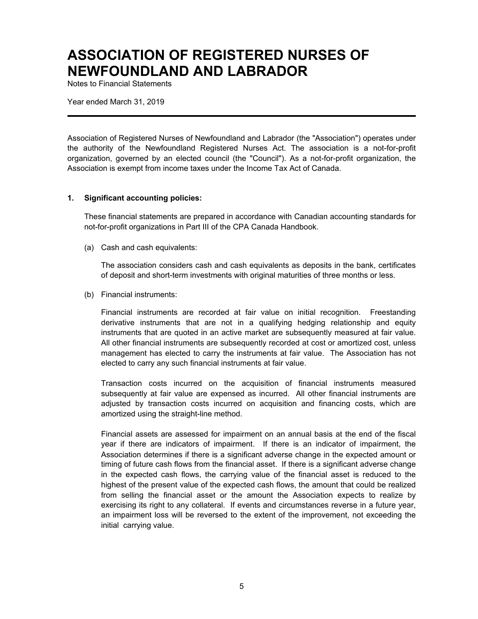Notes to Financial Statements

Year ended March 31, 2019

Association of Registered Nurses of Newfoundland and Labrador (the "Association") operates under the authority of the Newfoundland Registered Nurses Act. The association is a not-for-profit organization, governed by an elected council (the "Council"). As a not-for-profit organization, the Association is exempt from income taxes under the Income Tax Act of Canada.

### **1. Significant accounting policies:**

These financial statements are prepared in accordance with Canadian accounting standards for not-for-profit organizations in Part III of the CPA Canada Handbook.

(a) Cash and cash equivalents:

The association considers cash and cash equivalents as deposits in the bank, certificates of deposit and short-term investments with original maturities of three months or less.

(b) Financial instruments:

Financial instruments are recorded at fair value on initial recognition. Freestanding derivative instruments that are not in a qualifying hedging relationship and equity instruments that are quoted in an active market are subsequently measured at fair value. All other financial instruments are subsequently recorded at cost or amortized cost, unless management has elected to carry the instruments at fair value. The Association has not elected to carry any such financial instruments at fair value.

Transaction costs incurred on the acquisition of financial instruments measured subsequently at fair value are expensed as incurred. All other financial instruments are adjusted by transaction costs incurred on acquisition and financing costs, which are amortized using the straight-line method.

Financial assets are assessed for impairment on an annual basis at the end of the fiscal year if there are indicators of impairment. If there is an indicator of impairment, the Association determines if there is a significant adverse change in the expected amount or timing of future cash flows from the financial asset. If there is a significant adverse change in the expected cash flows, the carrying value of the financial asset is reduced to the highest of the present value of the expected cash flows, the amount that could be realized from selling the financial asset or the amount the Association expects to realize by exercising its right to any collateral. If events and circumstances reverse in a future year, an impairment loss will be reversed to the extent of the improvement, not exceeding the initial carrying value.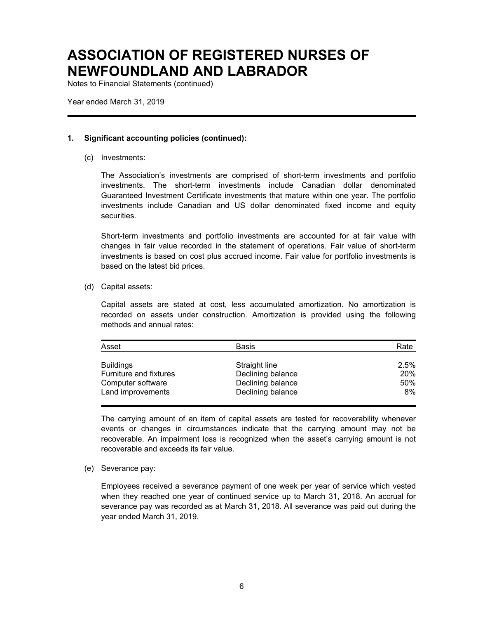Notes to Financial Statements (continued)

Year ended March 31, 2019

### **1. Significant accounting policies (continued):**

(c) Investments:

The Association's investments are comprised of short-term investments and portfolio investments. The short-term investments include Canadian dollar denominated Guaranteed Investment Certificate investments that mature within one year. The portfolio investments include Canadian and US dollar denominated fixed income and equity securities.

Short-term investments and portfolio investments are accounted for at fair value with changes in fair value recorded in the statement of operations. Fair value of short-term investments is based on cost plus accrued income. Fair value for portfolio investments is based on the latest bid prices.

(d) Capital assets:

Capital assets are stated at cost, less accumulated amortization. No amortization is recorded on assets under construction. Amortization is provided using the following methods and annual rates:

| Asset                  | <b>Basis</b>      | Rate |
|------------------------|-------------------|------|
|                        |                   |      |
| <b>Buildings</b>       | Straight line     | 2.5% |
| Furniture and fixtures | Declining balance | 20%  |
| Computer software      | Declining balance | 50%  |
| Land improvements      | Declining balance | 8%   |

The carrying amount of an item of capital assets are tested for recoverability whenever events or changes in circumstances indicate that the carrying amount may not be recoverable. An impairment loss is recognized when the asset's carrying amount is not recoverable and exceeds its fair value.

(e) Severance pay:

Employees received a severance payment of one week per year of service which vested when they reached one year of continued service up to March 31, 2018. An accrual for severance pay was recorded as at March 31, 2018. All severance was paid out during the year ended March 31, 2019.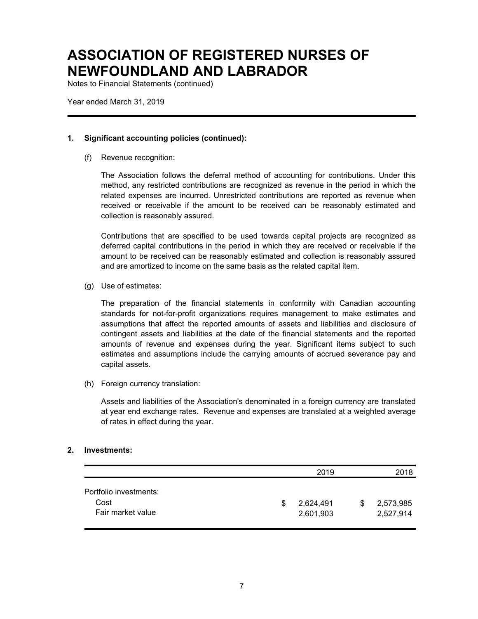Notes to Financial Statements (continued)

Year ended March 31, 2019

### **1. Significant accounting policies (continued):**

(f) Revenue recognition:

The Association follows the deferral method of accounting for contributions. Under this method, any restricted contributions are recognized as revenue in the period in which the related expenses are incurred. Unrestricted contributions are reported as revenue when received or receivable if the amount to be received can be reasonably estimated and collection is reasonably assured.

Contributions that are specified to be used towards capital projects are recognized as deferred capital contributions in the period in which they are received or receivable if the amount to be received can be reasonably estimated and collection is reasonably assured and are amortized to income on the same basis as the related capital item.

(g) Use of estimates:

The preparation of the financial statements in conformity with Canadian accounting standards for not-for-profit organizations requires management to make estimates and assumptions that affect the reported amounts of assets and liabilities and disclosure of contingent assets and liabilities at the date of the financial statements and the reported amounts of revenue and expenses during the year. Significant items subject to such estimates and assumptions include the carrying amounts of accrued severance pay and capital assets.

(h) Foreign currency translation:

Assets and liabilities of the Association's denominated in a foreign currency are translated at year end exchange rates. Revenue and expenses are translated at a weighted average of rates in effect during the year.

#### **2. Investments:**

|                                                     |   | 2019                   | 2018                   |
|-----------------------------------------------------|---|------------------------|------------------------|
| Portfolio investments:<br>Cost<br>Fair market value | S | 2,624,491<br>2,601,903 | 2,573,985<br>2,527,914 |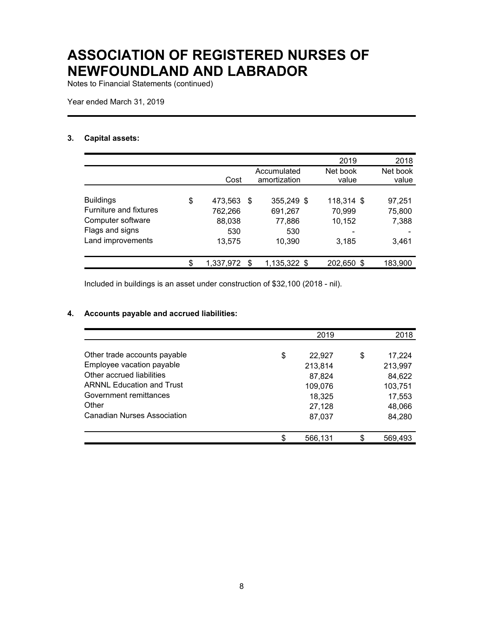Notes to Financial Statements (continued)

Year ended March 31, 2019

### **3. Capital assets:**

|                        |                 |                    | 2019       | 2018     |
|------------------------|-----------------|--------------------|------------|----------|
|                        |                 | Accumulated        | Net book   | Net book |
|                        | Cost            | amortization       | value      | value    |
|                        |                 |                    |            |          |
| <b>Buildings</b>       | \$<br>473,563   | \$<br>355,249 \$   | 118,314 \$ | 97,251   |
| Furniture and fixtures | 762,266         | 691,267            | 70,999     | 75,800   |
| Computer software      | 88,038          | 77,886             | 10,152     | 7,388    |
| Flags and signs        | 530             | 530                |            |          |
| Land improvements      | 13,575          | 10,390             | 3,185      | 3,461    |
|                        |                 |                    |            |          |
|                        | \$<br>1,337,972 | \$<br>1,135,322 \$ | 202,650 \$ | 183,900  |
|                        |                 |                    |            |          |

Included in buildings is an asset under construction of \$32,100 (2018 - nil).

### **4. Accounts payable and accrued liabilities:**

|                                  | 2019          |   | 2018    |
|----------------------------------|---------------|---|---------|
|                                  |               |   |         |
| Other trade accounts payable     | \$<br>22,927  | S | 17,224  |
| Employee vacation payable        | 213,814       |   | 213,997 |
| Other accrued liabilities        | 87,824        |   | 84,622  |
| <b>ARNNL Education and Trust</b> | 109,076       |   | 103,751 |
| Government remittances           | 18,325        |   | 17,553  |
| Other                            | 27,128        |   | 48,066  |
| Canadian Nurses Association      | 87,037        |   | 84,280  |
|                                  |               |   |         |
|                                  | \$<br>566,131 |   | 569,493 |
|                                  |               |   |         |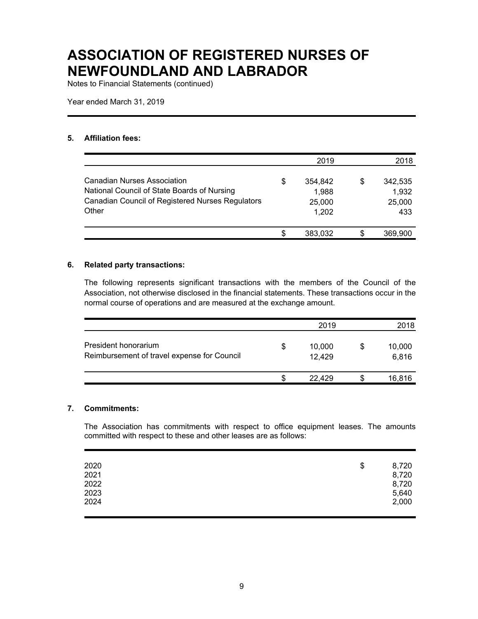Notes to Financial Statements (continued)

Year ended March 31, 2019

### **5. Affiliation fees:**

|                                                                                                                                                |   | 2019                                |   | 2018                              |
|------------------------------------------------------------------------------------------------------------------------------------------------|---|-------------------------------------|---|-----------------------------------|
| <b>Canadian Nurses Association</b><br>National Council of State Boards of Nursing<br>Canadian Council of Registered Nurses Regulators<br>Other | S | 354,842<br>1,988<br>25,000<br>1.202 | S | 342,535<br>1,932<br>25,000<br>433 |
|                                                                                                                                                |   | 383.032                             |   | 369,900                           |

#### **6. Related party transactions:**

The following represents significant transactions with the members of the Council of the Association, not otherwise disclosed in the financial statements. These transactions occur in the normal course of operations and are measured at the exchange amount.

|                                                                     |   | 2019             | 2018            |
|---------------------------------------------------------------------|---|------------------|-----------------|
| President honorarium<br>Reimbursement of travel expense for Council | S | 10,000<br>12,429 | 10,000<br>6,816 |
|                                                                     |   | 22.429           | 16,816          |

### **7. Commitments:**

The Association has commitments with respect to office equipment leases. The amounts committed with respect to these and other leases are as follows:

| 2020 | \$<br>8,720 |
|------|-------------|
| 2021 | 8,720       |
| 2022 | 8,720       |
| 2023 | 5,640       |
| 2024 | 2,000       |
|      |             |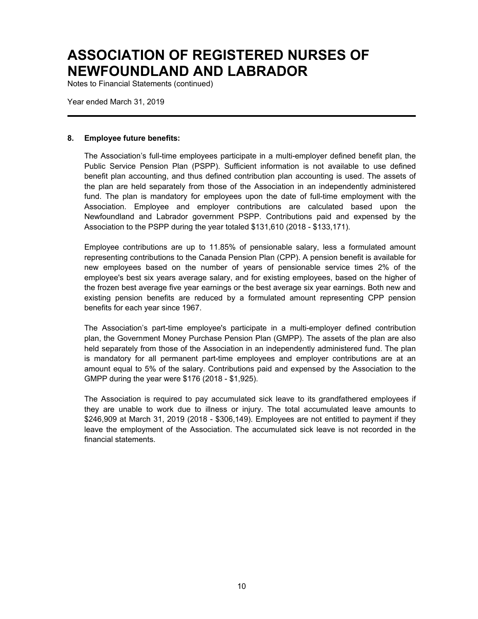Notes to Financial Statements (continued)

Year ended March 31, 2019

#### **8. Employee future benefits:**

The Association's full-time employees participate in a multi-employer defined benefit plan, the Public Service Pension Plan (PSPP). Sufficient information is not available to use defined benefit plan accounting, and thus defined contribution plan accounting is used. The assets of the plan are held separately from those of the Association in an independently administered fund. The plan is mandatory for employees upon the date of full-time employment with the Association. Employee and employer contributions are calculated based upon the Newfoundland and Labrador government PSPP. Contributions paid and expensed by the Association to the PSPP during the year totaled \$131,610 (2018 - \$133,171).

Employee contributions are up to 11.85% of pensionable salary, less a formulated amount representing contributions to the Canada Pension Plan (CPP). A pension benefit is available for new employees based on the number of years of pensionable service times 2% of the employee's best six years average salary, and for existing employees, based on the higher of the frozen best average five year earnings or the best average six year earnings. Both new and existing pension benefits are reduced by a formulated amount representing CPP pension benefits for each year since 1967.

The Association's part-time employee's participate in a multi-employer defined contribution plan, the Government Money Purchase Pension Plan (GMPP). The assets of the plan are also held separately from those of the Association in an independently administered fund. The plan is mandatory for all permanent part-time employees and employer contributions are at an amount equal to 5% of the salary. Contributions paid and expensed by the Association to the GMPP during the year were \$176 (2018 - \$1,925).

The Association is required to pay accumulated sick leave to its grandfathered employees if they are unable to work due to illness or injury. The total accumulated leave amounts to \$246,909 at March 31, 2019 (2018 - \$306,149). Employees are not entitled to payment if they leave the employment of the Association. The accumulated sick leave is not recorded in the financial statements.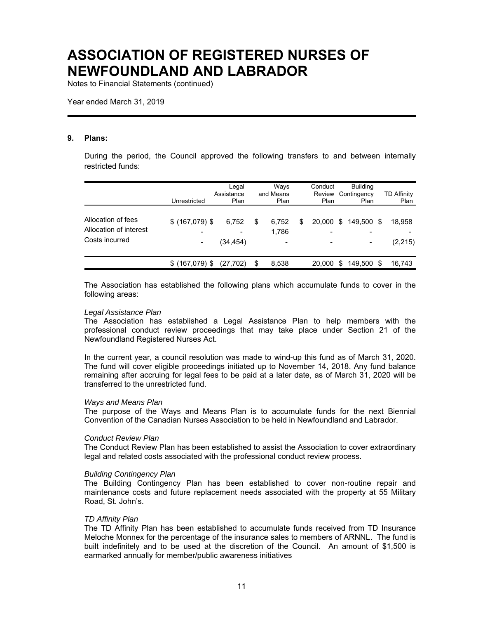Notes to Financial Statements (continued)

Year ended March 31, 2019

#### **9. Plans:**

During the period, the Council approved the following transfers to and between internally restricted funds:

|                                                                | Unrestricted                                      | Legal<br>Assistance<br>Plan |    | Ways<br>and Means<br>Plan                  | Conduct<br>Plan        |      | <b>Building</b><br>Review Contingency<br>Plan |      | <b>TD Affinity</b><br>Plan |
|----------------------------------------------------------------|---------------------------------------------------|-----------------------------|----|--------------------------------------------|------------------------|------|-----------------------------------------------|------|----------------------------|
| Allocation of fees<br>Allocation of interest<br>Costs incurred | $$$ (167,079) \$<br>-<br>$\overline{\phantom{a}}$ | 6,752<br>$\,$<br>(34, 454)  | \$ | 6,752<br>1,786<br>$\overline{\phantom{a}}$ | \$<br>20,000<br>۰<br>٠ | - \$ | 149,500<br>$\overline{\phantom{a}}$           | - \$ | 18,958<br>(2, 215)         |
|                                                                | $$$ (167,079) \$                                  | (27, 702)                   | S  | 8,538                                      | 20.000                 | -S   | 149,500                                       | - \$ | 16,743                     |

The Association has established the following plans which accumulate funds to cover in the following areas:

#### *Legal Assistance Plan*

The Association has established a Legal Assistance Plan to help members with the professional conduct review proceedings that may take place under Section 21 of the Newfoundland Registered Nurses Act.

In the current year, a council resolution was made to wind-up this fund as of March 31, 2020. The fund will cover eligible proceedings initiated up to November 14, 2018. Any fund balance remaining after accruing for legal fees to be paid at a later date, as of March 31, 2020 will be transferred to the unrestricted fund.

#### *Ways and Means Plan*

The purpose of the Ways and Means Plan is to accumulate funds for the next Biennial Convention of the Canadian Nurses Association to be held in Newfoundland and Labrador.

#### *Conduct Review Plan*

The Conduct Review Plan has been established to assist the Association to cover extraordinary legal and related costs associated with the professional conduct review process.

#### *Building Contingency Plan*

The Building Contingency Plan has been established to cover non-routine repair and maintenance costs and future replacement needs associated with the property at 55 Military Road, St. John's.

#### *TD Affinity Plan*

The TD Affinity Plan has been established to accumulate funds received from TD Insurance Meloche Monnex for the percentage of the insurance sales to members of ARNNL. The fund is built indefinitely and to be used at the discretion of the Council. An amount of \$1,500 is earmarked annually for member/public awareness initiatives